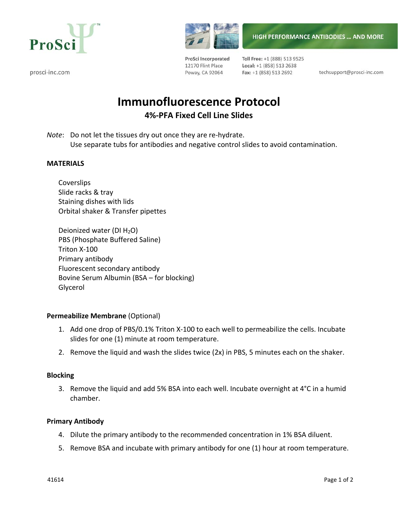

prosci-inc.com



ProSci Incorporated 12170 Flint Place Poway, CA 92064

Toll Free: +1 (888) 513 9525 Local: +1 (858) 513 2638 Fax: +1 (858) 513 2692

techsupport@prosci-inc.com

**HIGH PERFORMANCE ANTIBODIES ... AND MORE** 

# **Immunofluorescence Protocol 4%‐PFA Fixed Cell Line Slides**

*Note*: Do not let the tissues dry out once they are re-hydrate. Use separate tubs for antibodies and negative control slides to avoid contamination.

### **MATERIALS**

**Coverslips** Slide racks & tray Staining dishes with lids Orbital shaker & Transfer pipettes

Deionized water (DI $H_2O$ ) PBS (Phosphate Buffered Saline) Triton X‐100 Primary antibody Fluorescent secondary antibody Bovine Serum Albumin (BSA – for blocking) Glycerol

### **Permeabilize Membrane** (Optional)

- 1. Add one drop of PBS/0.1% Triton X‐100 to each well to permeabilize the cells. Incubate slides for one (1) minute at room temperature.
- 2. Remove the liquid and wash the slides twice (2x) in PBS, 5 minutes each on the shaker.

### **Blocking**

3. Remove the liquid and add 5% BSA into each well. Incubate overnight at 4°C in a humid chamber.

### **Primary Antibody**

- 4. Dilute the primary antibody to the recommended concentration in 1% BSA diluent.
- 5. Remove BSA and incubate with primary antibody for one (1) hour at room temperature.